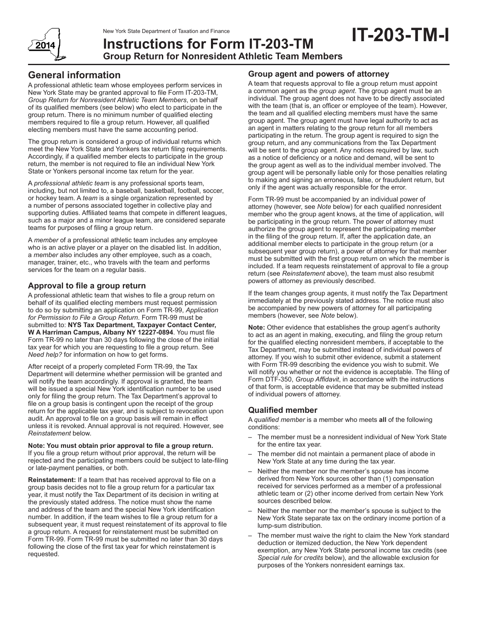

# **Instructions for Form IT-203-TM Group Return for Nonresident Athletic Team Members**

A professional athletic team whose employees perform services in New York State may be granted approval to file Form IT-203-TM, *Group Return for Nonresident Athletic Team Members*, on behalf of its qualified members (see below) who elect to participate in the group return. There is no minimum number of qualified electing members required to file a group return. However, all qualified electing members must have the same accounting period.

The group return is considered a group of individual returns which meet the New York State and Yonkers tax return filing requirements. Accordingly, if a qualified member elects to participate in the group return, the member is not required to file an individual New York State or Yonkers personal income tax return for the year.

A *professional athletic team* is any professional sports team, including, but not limited to, a baseball, basketball, football, soccer, or hockey team. A *team* is a single organization represented by a number of persons associated together in collective play and supporting duties. Affiliated teams that compete in different leagues, such as a major and a minor league team, are considered separate teams for purposes of filing a group return.

A *member* of a professional athletic team includes any employee who is an active player or a player on the disabled list. In addition, a *member* also includes any other employee, such as a coach, manager, trainer, etc., who travels with the team and performs services for the team on a regular basis.

# **Approval to file a group return**

A professional athletic team that wishes to file a group return on behalf of its qualified electing members must request permission to do so by submitting an application on Form TR-99, *Application for Permission to File a Group Return*. Form TR-99 must be submitted to: **NYS Tax Department, Taxpayer Contact Center, W A Harriman Campus, Albany NY 12227-0894**. You must file Form TR-99 no later than 30 days following the close of the initial tax year for which you are requesting to file a group return. See *Need help?* for information on how to get forms.

After receipt of a properly completed Form TR-99, the Tax Department will determine whether permission will be granted and will notify the team accordingly. If approval is granted, the team will be issued a special New York identification number to be used only for filing the group return. The Tax Department's approval to file on a group basis is contingent upon the receipt of the group return for the applicable tax year, and is subject to revocation upon audit. An approval to file on a group basis will remain in effect unless it is revoked. Annual approval is not required. However, see *Reinstatement* below.

#### **Note: You must obtain prior approval to file a group return.**  If you file a group return without prior approval, the return will be rejected and the participating members could be subject to late-filing or late-payment penalties, or both.

**Reinstatement:** If a team that has received approval to file on a group basis decides not to file a group return for a particular tax year, it must notify the Tax Department of its decision in writing at the previously stated address. The notice must show the name and address of the team and the special New York identification number. In addition, if the team wishes to file a group return for a subsequent year, it must request reinstatement of its approval to file a group return. A request for reinstatement must be submitted on Form TR-99. Form TR-99 must be submitted no later than 30 days following the close of the first tax year for which reinstatement is requested.

# **Group agent and powers of attorney**

A team that requests approval to file a group return must appoint a common agent as the *group agent*. The group agent must be an individual. The group agent does not have to be directly associated with the team (that is, an officer or employee of the team). However, the team and all qualified electing members must have the same group agent. The group agent must have legal authority to act as an agent in matters relating to the group return for all members participating in the return. The group agent is required to sign the group return, and any communications from the Tax Department will be sent to the group agent. Any notices required by law, such as a notice of deficiency or a notice and demand, will be sent to the group agent as well as to the individual member involved. The group agent will be personally liable only for those penalties relating to making and signing an erroneous, false, or fraudulent return, but only if the agent was actually responsible for the error.

Form TR-99 must be accompanied by an individual power of attorney (however, see *Note* below) for each qualified nonresident member who the group agent knows, at the time of application, will be participating in the group return. The power of attorney must authorize the group agent to represent the participating member in the filing of the group return. If, after the application date, an additional member elects to participate in the group return (or a subsequent year group return), a power of attorney for that member must be submitted with the first group return on which the member is included. If a team requests reinstatement of approval to file a group return (see *Reinstatement* above), the team must also resubmit powers of attorney as previously described.

If the team changes group agents, it must notify the Tax Department immediately at the previously stated address. The notice must also be accompanied by new powers of attorney for all participating members (however, see *Note* below).

**Note:** Other evidence that establishes the group agent's authority to act as an agent in making, executing, and filing the group return for the qualified electing nonresident members, if acceptable to the Tax Department, may be submitted instead of individual powers of attorney. If you wish to submit other evidence, submit a statement with Form TR-99 describing the evidence you wish to submit. We will notify you whether or not the evidence is acceptable. The filing of Form DTF-350, *Group Affidavit*, in accordance with the instructions of that form, is acceptable evidence that may be submitted instead of individual powers of attorney.

# **Qualified member**

A *qualified member* is a member who meets **all** of the following conditions:

- The member must be a nonresident individual of New York State for the entire tax year.
- The member did not maintain a permanent place of abode in New York State at any time during the tax year.
- Neither the member nor the member's spouse has income derived from New York sources other than (1) compensation received for services performed as a member of a professional athletic team or (2) other income derived from certain New York sources described below.
- Neither the member nor the member's spouse is subject to the New York State separate tax on the ordinary income portion of a lump‑sum distribution.
- The member must waive the right to claim the New York standard deduction or itemized deduction, the New York dependent exemption, any New York State personal income tax credits (see *Special rule for credits* below), and the allowable exclusion for purposes of the Yonkers nonresident earnings tax.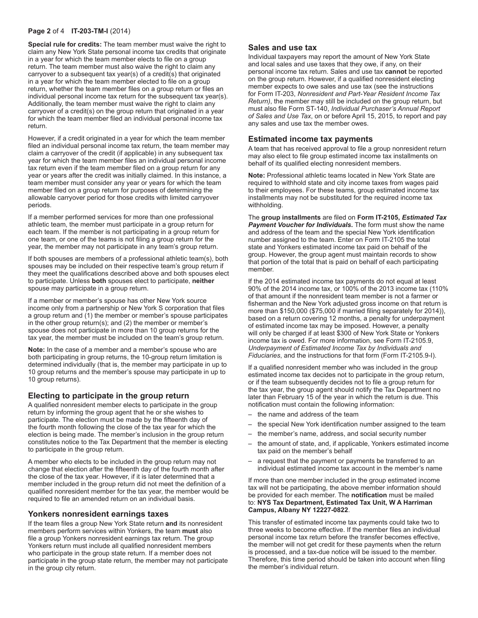### **Page 2** of 4 **IT-203-TM-I** (2014)

**Special rule for credits:** The team member must waive the right to claim any New York State personal income tax credits that originate in a year for which the team member elects to file on a group return. The team member must also waive the right to claim any carryover to a subsequent tax year(s) of a credit(s) that originated in a year for which the team member elected to file on a group return, whether the team member files on a group return or files an individual personal income tax return for the subsequent tax year(s). Additionally, the team member must waive the right to claim any carryover of a credit(s) on the group return that originated in a year for which the team member filed an individual personal income tax return.

However, if a credit originated in a year for which the team member filed an individual personal income tax return, the team member may claim a carryover of the credit (if applicable) in any subsequent tax year for which the team member files an individual personal income tax return even if the team member filed on a group return for any year or years after the credit was initially claimed. In this instance, a team member must consider any year or years for which the team member filed on a group return for purposes of determining the allowable carryover period for those credits with limited carryover periods.

If a member performed services for more than one professional athletic team, the member must participate in a group return for each team. If the member is not participating in a group return for one team, or one of the teams is not filing a group return for the year, the member may not participate in any team's group return.

If both spouses are members of a professional athletic team(s), both spouses may be included on their respective team's group return if they meet the qualifications described above and both spouses elect to participate. Unless **both** spouses elect to participate, **neither** spouse may participate in a group return.

If a member or member's spouse has other New York source income only from a partnership or New York S corporation that files a group return and (1) the member or member's spouse participates in the other group return(s); and (2) the member or member's spouse does not participate in more than 10 group returns for the tax year, the member must be included on the team's group return.

**Note:** In the case of a member and a member's spouse who are both participating in group returns, the 10-group return limitation is determined individually (that is, the member may participate in up to 10 group returns and the member's spouse may participate in up to 10 group returns).

### **Electing to participate in the group return**

A qualified nonresident member elects to participate in the group return by informing the group agent that he or she wishes to participate. The election must be made by the fifteenth day of the fourth month following the close of the tax year for which the election is being made. The member's inclusion in the group return constitutes notice to the Tax Department that the member is electing to participate in the group return.

A member who elects to be included in the group return may not change that election after the fifteenth day of the fourth month after the close of the tax year. However, if it is later determined that a member included in the group return did not meet the definition of a qualified nonresident member for the tax year, the member would be required to file an amended return on an individual basis.

### **Yonkers nonresident earnings taxes**

If the team files a group New York State return **and** its nonresident members perform services within Yonkers, the team **must** also file a group Yonkers nonresident earnings tax return. The group Yonkers return must include all qualified nonresident members who participate in the group state return. If a member does not participate in the group state return, the member may not participate in the group city return.

### **Sales and use tax**

Individual taxpayers may report the amount of New York State and local sales and use taxes that they owe, if any, on their personal income tax return. Sales and use tax **cannot** be reported on the group return. However, if a qualified nonresident electing member expects to owe sales and use tax (see the instructions for Form IT‑203, *Nonresident and Part‑Year Resident Income Tax Return)*, the member may still be included on the group return, but must also file Form ST‑140, *Individual Purchaser's Annual Report of Sales and Use Tax*, on or before April 15, 2015, to report and pay any sales and use tax the member owes.

#### **Estimated income tax payments**

A team that has received approval to file a group nonresident return may also elect to file group estimated income tax installments on behalf of its qualified electing nonresident members.

**Note:** Professional athletic teams located in New York State are required to withhold state and city income taxes from wages paid to their employees. For these teams, group estimated income tax installments may not be substituted for the required income tax withholding.

The **group installments** are filed on **Form IT-2105,** *Estimated Tax Payment Voucher for Individuals***.** The form must show the name and address of the team and the special New York identification number assigned to the team. Enter on Form IT-2105 the total state and Yonkers estimated income tax paid on behalf of the group. However, the group agent must maintain records to show that portion of the total that is paid on behalf of each participating member.

If the 2014 estimated income tax payments do not equal at least 90% of the 2014 income tax, or 100% of the 2013 income tax (110% of that amount if the nonresident team member is not a farmer or fisherman and the New York adjusted gross income on that return is more than \$150,000 (\$75,000 if married filing separately for 2014)), based on a return covering 12 months, a penalty for underpayment of estimated income tax may be imposed. However, a penalty will only be charged if at least \$300 of New York State or Yonkers income tax is owed. For more information, see Form IT‑2105.9, *Underpayment of Estimated Income Tax by Individuals and Fiduciaries*, and the instructions for that form (Form IT‑2105.9-I).

If a qualified nonresident member who was included in the group estimated income tax decides not to participate in the group return, or if the team subsequently decides not to file a group return for the tax year, the group agent should notify the Tax Department no later than February 15 of the year in which the return is due. This notification must contain the following information:

- the name and address of the team
- the special New York identification number assigned to the team
- the member's name, address, and social security number
- the amount of state, and, if applicable, Yonkers estimated income tax paid on the member's behalf
- a request that the payment or payments be transferred to an individual estimated income tax account in the member's name

If more than one member included in the group estimated income tax will not be participating, the above member information should be provided for each member. The **notification** must be mailed to: **NYS Tax Department, Estimated Tax Unit, W A Harriman Campus, Albany NY 12227-0822**.

This transfer of estimated income tax payments could take two to three weeks to become effective. If the member files an individual personal income tax return before the transfer becomes effective, the member will not get credit for these payments when the return is processed, and a tax-due notice will be issued to the member. Therefore, this time period should be taken into account when filing the member's individual return.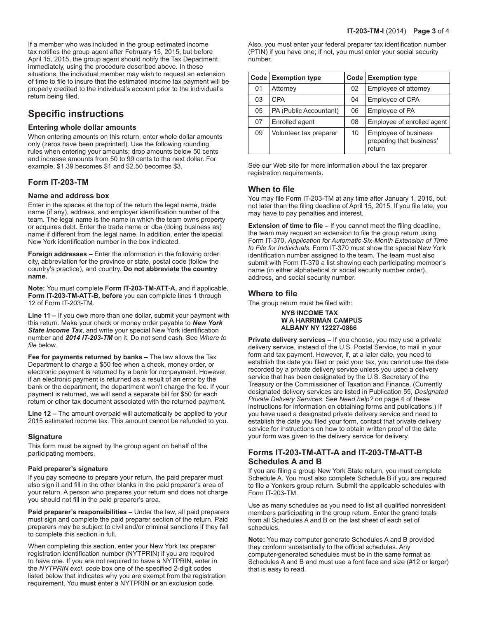If a member who was included in the group estimated income tax notifies the group agent after February 15, 2015, but before April 15, 2015, the group agent should notify the Tax Department immediately, using the procedure described above. In these situations, the individual member may wish to request an extension of time to file to insure that the estimated income tax payment will be properly credited to the individual's account prior to the individual's return being filed.

# **Specific instructions**

### **Entering whole dollar amounts**

When entering amounts on this return, enter whole dollar amounts only (zeros have been preprinted). Use the following rounding rules when entering your amounts; drop amounts below 50 cents and increase amounts from 50 to 99 cents to the next dollar. For example, \$1.39 becomes \$1 and \$2.50 becomes \$3.

# **Form IT-203-TM**

### **Name and address box**

Enter in the spaces at the top of the return the legal name, trade name (if any), address, and employer identification number of the team. The legal name is the name in which the team owns property or acquires debt. Enter the trade name or dba (doing business as) name if different from the legal name. In addition, enter the special New York identification number in the box indicated.

**Foreign addresses –** Enter the information in the following order: city, abbreviation for the province or state, postal code (follow the country's practice), and country. **Do not abbreviate the country name.**

**Note:** You must complete **Form IT-203-TM-ATT-A,** and if applicable, **Form IT-203-TM-ATT-B, before** you can complete lines 1 through 12 of Form IT-203-TM.

**Line 11 –** If you owe more than one dollar, submit your payment with this return. Make your check or money order payable to *New York State Income Tax*, and write your special New York identification number and *2014 IT-203-TM* on it. Do not send cash. See *Where to file* below.

**Fee for payments returned by banks –** The law allows the Tax Department to charge a \$50 fee when a check, money order, or electronic payment is returned by a bank for nonpayment. However, if an electronic payment is returned as a result of an error by the bank or the department, the department won't charge the fee. If your payment is returned, we will send a separate bill for \$50 for each return or other tax document associated with the returned payment.

**Line 12 –** The amount overpaid will automatically be applied to your 2015 estimated income tax. This amount cannot be refunded to you.

#### **Signature**

This form must be signed by the group agent on behalf of the participating members.

#### **Paid preparer's signature**

If you pay someone to prepare your return, the paid preparer must also sign it and fill in the other blanks in the paid preparer's area of your return. A person who prepares your return and does not charge you should not fill in the paid preparer's area.

**Paid preparer's responsibilities –** Under the law, all paid preparers must sign and complete the paid preparer section of the return. Paid preparers may be subject to civil and/or criminal sanctions if they fail to complete this section in full.

When completing this section, enter your New York tax preparer registration identification number (NYTPRIN) if you are required to have one. If you are not required to have a NYTPRIN, enter in the *NYTPRIN excl. code* box one of the specified 2-digit codes listed below that indicates why you are exempt from the registration requirement. You **must** enter a NYTPRIN **or** an exclusion code.

Also, you must enter your federal preparer tax identification number (PTIN) if you have one; if not, you must enter your social security number.

| Code | <b>Exemption type</b>  | Code | <b>Exemption type</b>                                      |
|------|------------------------|------|------------------------------------------------------------|
| 01   | Attorney               | 02   | Employee of attorney                                       |
| 03   | <b>CPA</b>             | 04   | Employee of CPA                                            |
| 05   | PA (Public Accountant) | 06   | Employee of PA                                             |
| 07   | Enrolled agent         | 08   | Employee of enrolled agent                                 |
| 09   | Volunteer tax preparer | 10   | Employee of business<br>preparing that business'<br>return |

See our Web site for more information about the tax preparer registration requirements.

# **When to file**

You may file Form IT-203-TM at any time after January 1, 2015, but not later than the filing deadline of April 15, 2015. If you file late, you may have to pay penalties and interest.

**Extension of time to file –** If you cannot meet the filing deadline, the team may request an extension to file the group return using Form IT-370, *Application for Automatic Six-Month Extension of Time to File for Individuals*. Form IT-370 must show the special New York identification number assigned to the team. The team must also submit with Form IT-370 a list showing each participating member's name (in either alphabetical or social security number order), address, and social security number.

# **Where to file**

The group return must be filed with:

 **NYS INCOME TAX W A HARRIMAN CAMPUS ALBANY NY 12227-0866**

**Private delivery services –** If you choose, you may use a private delivery service, instead of the U.S. Postal Service, to mail in your form and tax payment. However, if, at a later date, you need to establish the date you filed or paid your tax, you cannot use the date recorded by a private delivery service unless you used a delivery service that has been designated by the U.S. Secretary of the Treasury or the Commissioner of Taxation and Finance. (Currently designated delivery services are listed in Publication 55, *Designated Private Delivery Services.* See *Need help?* on page 4 of these instructions for information on obtaining forms and publications.) If you have used a designated private delivery service and need to establish the date you filed your form, contact that private delivery service for instructions on how to obtain written proof of the date your form was given to the delivery service for delivery.

# **Forms IT-203-TM-ATT-A and IT-203-TM-ATT-B Schedules A and B**

If you are filing a group New York State return, you must complete Schedule A. You must also complete Schedule B if you are required to file a Yonkers group return. Submit the applicable schedules with Form IT-203-TM.

Use as many schedules as you need to list all qualified nonresident members participating in the group return. Enter the grand totals from all Schedules A and B on the last sheet of each set of schedules.

**Note:** You may computer generate Schedules A and B provided they conform substantially to the official schedules. Any computer-generated schedules must be in the same format as Schedules A and B and must use a font face and size (#12 or larger) that is easy to read.